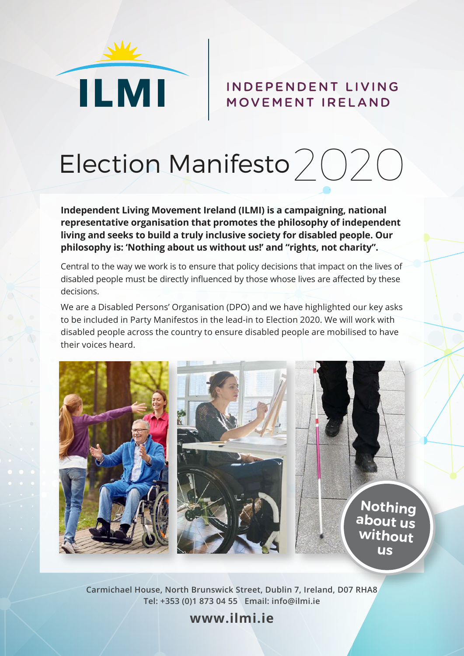

## INDEPENDENT LIVING MOVEMENT IRELAND



**Independent Living Movement Ireland (ILMI) is a campaigning, national representative organisation that promotes the philosophy of independent living and seeks to build a truly inclusive society for disabled people. Our philosophy is: 'Nothing about us without us!' and "rights, not charity".**

Central to the way we work is to ensure that policy decisions that impact on the lives of disabled people must be directly influenced by those whose lives are affected by these decisions.

We are a Disabled Persons' Organisation (DPO) and we have highlighted our key asks to be included in Party Manifestos in the lead-in to Election 2020. We will work with disabled people across the country to ensure disabled people are mobilised to have their voices heard.



**Carmichael House, North Brunswick Street, Dublin 7, Ireland, D07 RHA8 Tel: +353 (0)1 873 04 55 Email: info@ilmi.ie**

**www.ilmi.ie**